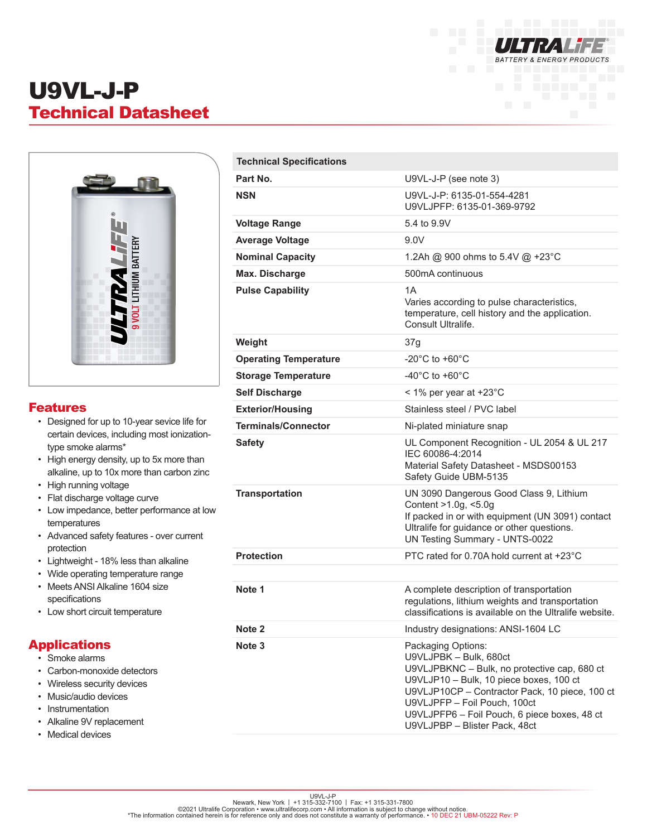

# U9VL-J-P Technical Datasheet



#### Features

- Designed for up to 10-year sevice life for certain devices, including most ionizationtype smoke alarms\*
- High energy density, up to 5x more than alkaline, up to 10x more than carbon zinc
- High running voltage
- Flat discharge voltage curve
- Low impedance, better performance at low temperatures
- Advanced safety features over current protection
- Lightweight 18% less than alkaline
- Wide operating temperature range • Meets ANSI Alkaline 1604 size specifications
- Low short circuit temperature

### Applications

- Smoke alarms
- Carbon-monoxide detectors
- Wireless security devices
- Music/audio devices
- Instrumentation
- Alkaline 9V replacement
- Medical devices

| <b>Technical Specifications</b> |                                                                                                                                                                                                                                                                           |
|---------------------------------|---------------------------------------------------------------------------------------------------------------------------------------------------------------------------------------------------------------------------------------------------------------------------|
| Part No.                        | U9VL-J-P (see note 3)                                                                                                                                                                                                                                                     |
| <b>NSN</b>                      | U9VL-J-P: 6135-01-554-4281<br>U9VLJPFP: 6135-01-369-9792                                                                                                                                                                                                                  |
| <b>Voltage Range</b>            | 5.4 to 9.9V                                                                                                                                                                                                                                                               |
| <b>Average Voltage</b>          | 9.0V                                                                                                                                                                                                                                                                      |
| <b>Nominal Capacity</b>         | 1.2Ah @ 900 ohms to 5.4V @ +23°C                                                                                                                                                                                                                                          |
| Max. Discharge                  | 500mA continuous                                                                                                                                                                                                                                                          |
| <b>Pulse Capability</b>         | 1A<br>Varies according to pulse characteristics,<br>temperature, cell history and the application.<br>Consult Ultralife.                                                                                                                                                  |
| Weight                          | 37g                                                                                                                                                                                                                                                                       |
| <b>Operating Temperature</b>    | $-20^{\circ}$ C to $+60^{\circ}$ C                                                                                                                                                                                                                                        |
| <b>Storage Temperature</b>      | $-40^{\circ}$ C to $+60^{\circ}$ C                                                                                                                                                                                                                                        |
| <b>Self Discharge</b>           | < 1% per year at +23°C                                                                                                                                                                                                                                                    |
| <b>Exterior/Housing</b>         | Stainless steel / PVC label                                                                                                                                                                                                                                               |
| <b>Terminals/Connector</b>      | Ni-plated miniature snap                                                                                                                                                                                                                                                  |
| <b>Safety</b>                   | UL Component Recognition - UL 2054 & UL 217<br>IEC 60086-4:2014<br>Material Safety Datasheet - MSDS00153<br>Safety Guide UBM-5135                                                                                                                                         |
| <b>Transportation</b>           | UN 3090 Dangerous Good Class 9, Lithium<br>Content >1.0g, <5.0g<br>If packed in or with equipment (UN 3091) contact<br>Ultralife for guidance or other questions.<br><b>UN Testing Summary - UNTS-0022</b>                                                                |
| <b>Protection</b>               | PTC rated for 0.70A hold current at +23°C                                                                                                                                                                                                                                 |
|                                 |                                                                                                                                                                                                                                                                           |
| Note 1                          | A complete description of transportation<br>regulations, lithium weights and transportation<br>classifications is available on the Ultralife website.                                                                                                                     |
| Note <sub>2</sub>               | Industry designations: ANSI-1604 LC                                                                                                                                                                                                                                       |
| Note <sub>3</sub>               | Packaging Options:<br>U9VLJPBK - Bulk, 680ct<br>U9VLJPBKNC - Bulk, no protective cap, 680 ct<br>U9VLJP10 - Bulk, 10 piece boxes, 100 ct<br>U9VLJP10CP - Contractor Pack, 10 piece, 100 ct<br>U9VLJPFP - Foil Pouch, 100ct<br>U9VLJPFP6 - Foil Pouch, 6 piece boxes, 48 ct |

U9VLJPBP – Blister Pack, 48ct